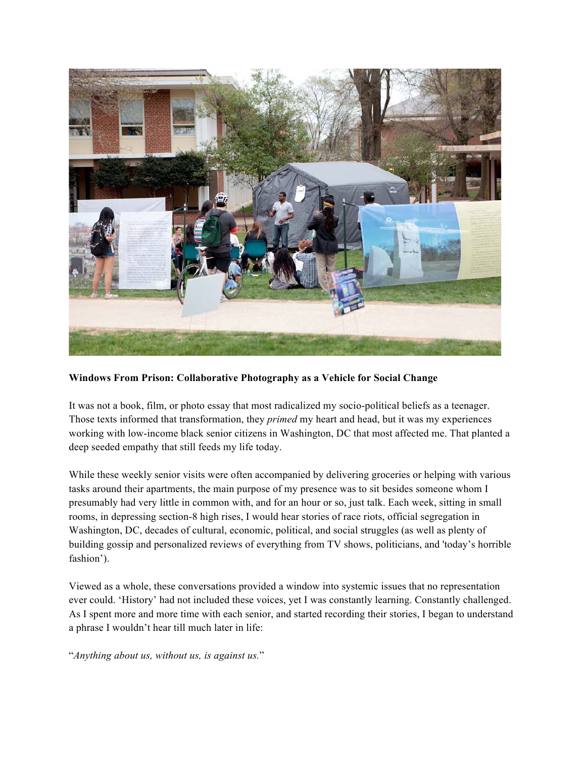

**Windows From Prison: Collaborative Photography as a Vehicle for Social Change**

It was not a book, film, or photo essay that most radicalized my socio-political beliefs as a teenager. Those texts informed that transformation, they *primed* my heart and head, but it was my experiences working with low-income black senior citizens in Washington, DC that most affected me. That planted a deep seeded empathy that still feeds my life today.

While these weekly senior visits were often accompanied by delivering groceries or helping with various tasks around their apartments, the main purpose of my presence was to sit besides someone whom I presumably had very little in common with, and for an hour or so, just talk. Each week, sitting in small rooms, in depressing section-8 high rises, I would hear stories of race riots, official segregation in Washington, DC, decades of cultural, economic, political, and social struggles (as well as plenty of building gossip and personalized reviews of everything from TV shows, politicians, and 'today's horrible fashion').

Viewed as a whole, these conversations provided a window into systemic issues that no representation ever could. 'History' had not included these voices, yet I was constantly learning. Constantly challenged. As I spent more and more time with each senior, and started recording their stories, I began to understand a phrase I wouldn't hear till much later in life:

"*Anything about us, without us, is against us.*"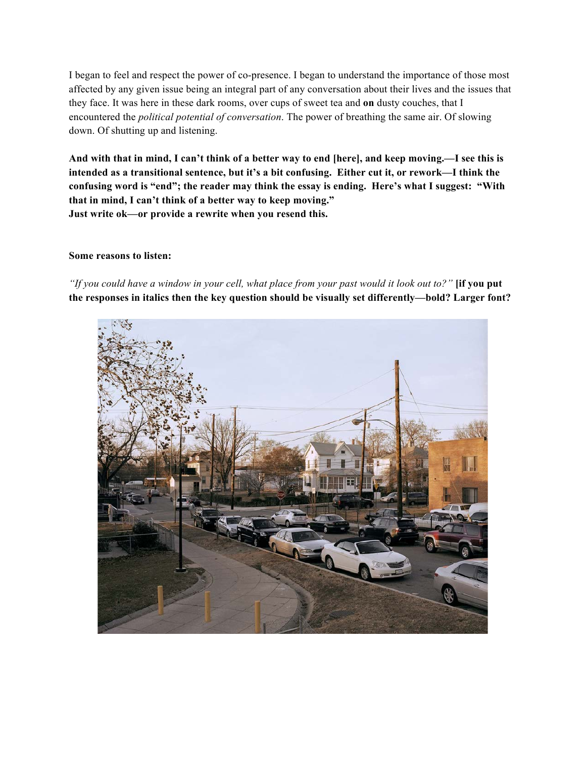I began to feel and respect the power of co-presence. I began to understand the importance of those most affected by any given issue being an integral part of any conversation about their lives and the issues that they face. It was here in these dark rooms, over cups of sweet tea and **on** dusty couches, that I encountered the *political potential of conversation*. The power of breathing the same air. Of slowing down. Of shutting up and listening.

**And with that in mind, I can't think of a better way to end [here], and keep moving.—I see this is intended as a transitional sentence, but it's a bit confusing. Either cut it, or rework—I think the confusing word is "end"; the reader may think the essay is ending. Here's what I suggest: "With that in mind, I can't think of a better way to keep moving." Just write ok—or provide a rewrite when you resend this.**

### **Some reasons to listen:**

*"If you could have a window in your cell, what place from your past would it look out to?"* **[if you put the responses in italics then the key question should be visually set differently—bold? Larger font?**

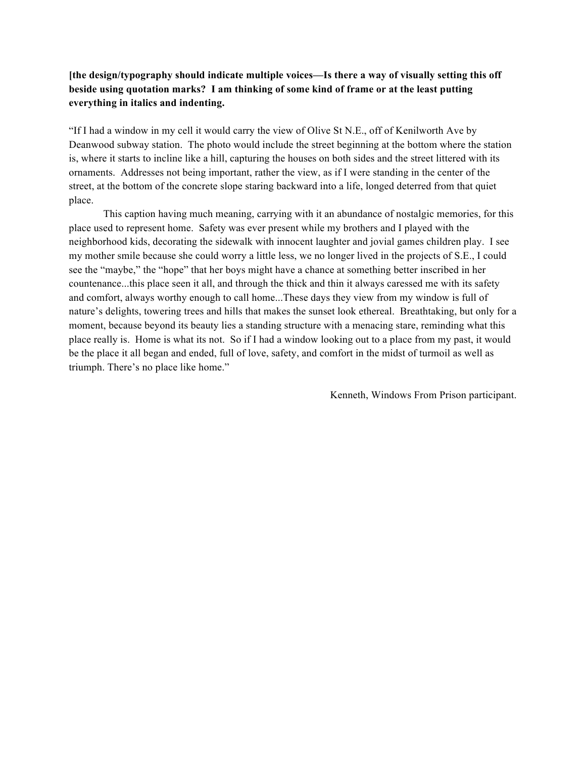# **[the design/typography should indicate multiple voices—Is there a way of visually setting this off beside using quotation marks? I am thinking of some kind of frame or at the least putting everything in italics and indenting.**

"If I had a window in my cell it would carry the view of Olive St N.E., off of Kenilworth Ave by Deanwood subway station. The photo would include the street beginning at the bottom where the station is, where it starts to incline like a hill, capturing the houses on both sides and the street littered with its ornaments. Addresses not being important, rather the view, as if I were standing in the center of the street, at the bottom of the concrete slope staring backward into a life, longed deterred from that quiet place.

This caption having much meaning, carrying with it an abundance of nostalgic memories, for this place used to represent home. Safety was ever present while my brothers and I played with the neighborhood kids, decorating the sidewalk with innocent laughter and jovial games children play. I see my mother smile because she could worry a little less, we no longer lived in the projects of S.E., I could see the "maybe," the "hope" that her boys might have a chance at something better inscribed in her countenance...this place seen it all, and through the thick and thin it always caressed me with its safety and comfort, always worthy enough to call home...These days they view from my window is full of nature's delights, towering trees and hills that makes the sunset look ethereal. Breathtaking, but only for a moment, because beyond its beauty lies a standing structure with a menacing stare, reminding what this place really is. Home is what its not. So if I had a window looking out to a place from my past, it would be the place it all began and ended, full of love, safety, and comfort in the midst of turmoil as well as triumph. There's no place like home."

Kenneth, Windows From Prison participant.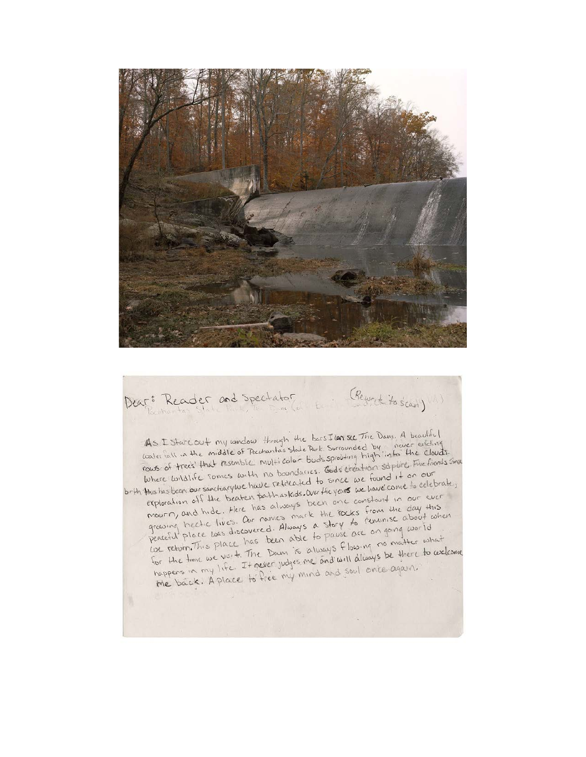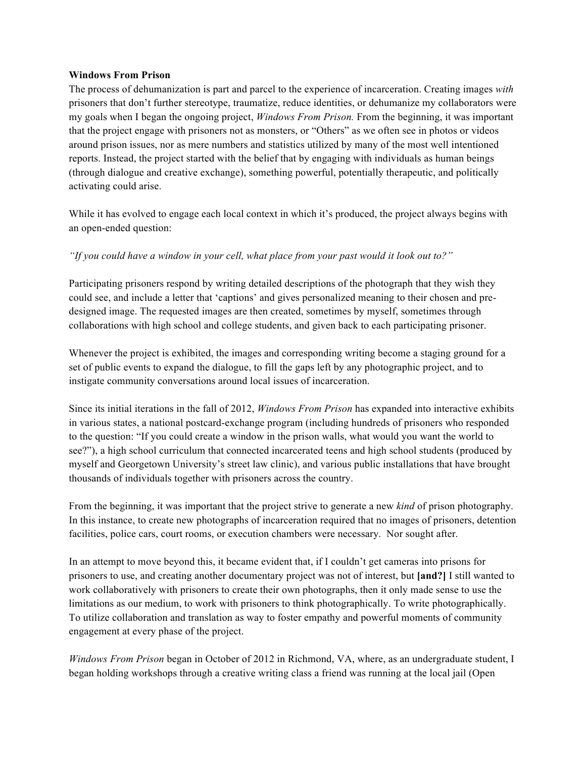#### **Windows From Prison**

The process of dehumanization is part and parcel to the experience of incarceration. Creating images *with* prisoners that don't further stereotype, traumatize, reduce identities, or dehumanize my collaborators were my goals when I began the ongoing project, *Windows From Prison.* From the beginning, it was important that the project engage with prisoners not as monsters, or "Others" as we often see in photos or videos around prison issues, nor as mere numbers and statistics utilized by many of the most well intentioned reports. Instead, the project started with the belief that by engaging with individuals as human beings (through dialogue and creative exchange), something powerful, potentially therapeutic, and politically activating could arise.

While it has evolved to engage each local context in which it's produced, the project always begins with an open-ended question:

## *"If you could have a window in your cell, what place from your past would it look out to?"*

Participating prisoners respond by writing detailed descriptions of the photograph that they wish they could see, and include a letter that 'captions' and gives personalized meaning to their chosen and predesigned image. The requested images are then created, sometimes by myself, sometimes through collaborations with high school and college students, and given back to each participating prisoner.

Whenever the project is exhibited, the images and corresponding writing become a staging ground for a set of public events to expand the dialogue, to fill the gaps left by any photographic project, and to instigate community conversations around local issues of incarceration.

Since its initial iterations in the fall of 2012, *Windows From Prison* has expanded into interactive exhibits in various states, a national postcard-exchange program (including hundreds of prisoners who responded to the question: "If you could create a window in the prison walls, what would you want the world to see?"), a high school curriculum that connected incarcerated teens and high school students (produced by myself and Georgetown University's street law clinic), and various public installations that have brought thousands of individuals together with prisoners across the country.

From the beginning, it was important that the project strive to generate a new *kind* of prison photography. In this instance, to create new photographs of incarceration required that no images of prisoners, detention facilities, police cars, court rooms, or execution chambers were necessary. Nor sought after.

In an attempt to move beyond this, it became evident that, if I couldn't get cameras into prisons for prisoners to use, and creating another documentary project was not of interest, but **[and?]** I still wanted to work collaboratively with prisoners to create their own photographs, then it only made sense to use the limitations as our medium, to work with prisoners to think photographically. To write photographically. To utilize collaboration and translation as way to foster empathy and powerful moments of community engagement at every phase of the project.

*Windows From Prison* began in October of 2012 in Richmond, VA, where, as an undergraduate student, I began holding workshops through a creative writing class a friend was running at the local jail (Open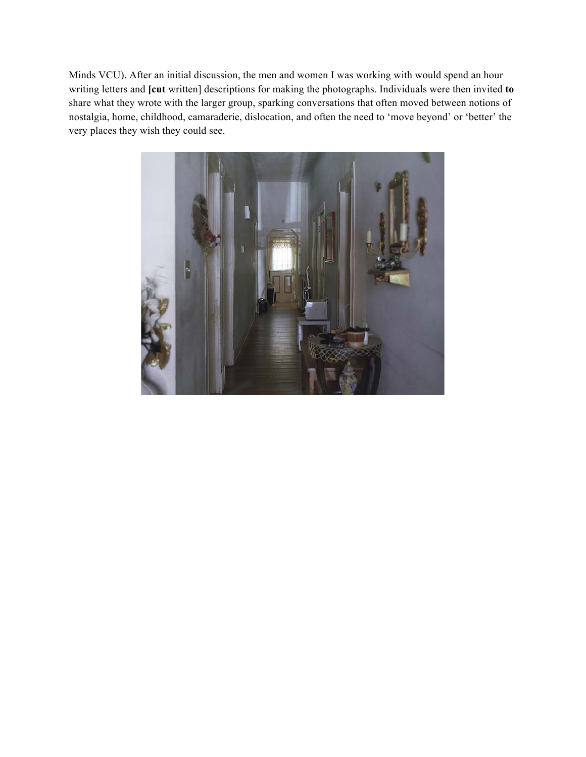Minds VCU). After an initial discussion, the men and women I was working with would spend an hour writing letters and **[cut** written] descriptions for making the photographs. Individuals were then invited **to**  share what they wrote with the larger group, sparking conversations that often moved between notions of nostalgia, home, childhood, camaraderie, dislocation, and often the need to 'move beyond' or 'better' the very places they wish they could see.

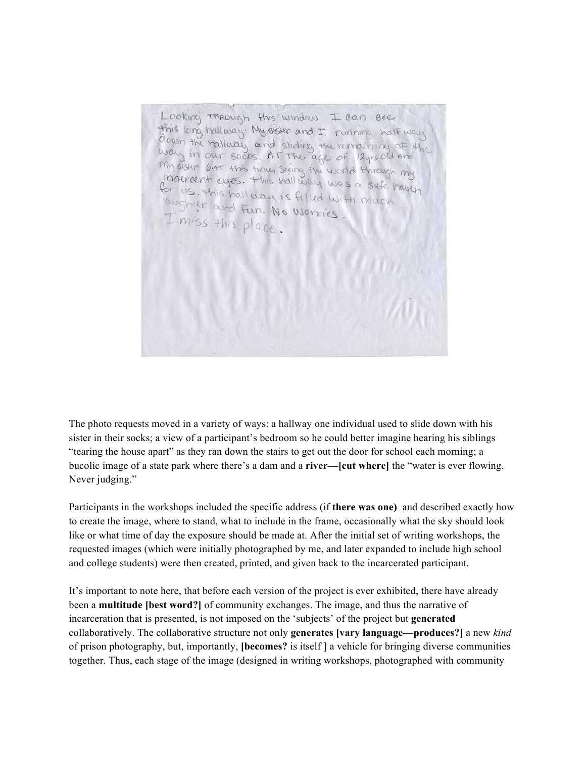Luoking Through this window I can see this long hallway. My eigher and I running half way down the railway and sliding the remaining of H way in our socks. AT The age of 12yrs old Are My sister but this time, seeing the world through my Innervent eyes. This hall way was a safe haven for us. this half way is filled with much laughter and Fun. No workies I miss this place

The photo requests moved in a variety of ways: a hallway one individual used to slide down with his sister in their socks; a view of a participant's bedroom so he could better imagine hearing his siblings "tearing the house apart" as they ran down the stairs to get out the door for school each morning; a bucolic image of a state park where there's a dam and a **river—[cut where]** the "water is ever flowing. Never judging."

Participants in the workshops included the specific address (if **there was one)** and described exactly how to create the image, where to stand, what to include in the frame, occasionally what the sky should look like or what time of day the exposure should be made at. After the initial set of writing workshops, the requested images (which were initially photographed by me, and later expanded to include high school and college students) were then created, printed, and given back to the incarcerated participant.

It's important to note here, that before each version of the project is ever exhibited, there have already been a **multitude [best word?]** of community exchanges. The image, and thus the narrative of incarceration that is presented, is not imposed on the 'subjects' of the project but **generated** collaboratively. The collaborative structure not only **generates [vary language—produces?]** a new *kind* of prison photography, but, importantly, **[becomes?** is itself ] a vehicle for bringing diverse communities together. Thus, each stage of the image (designed in writing workshops, photographed with community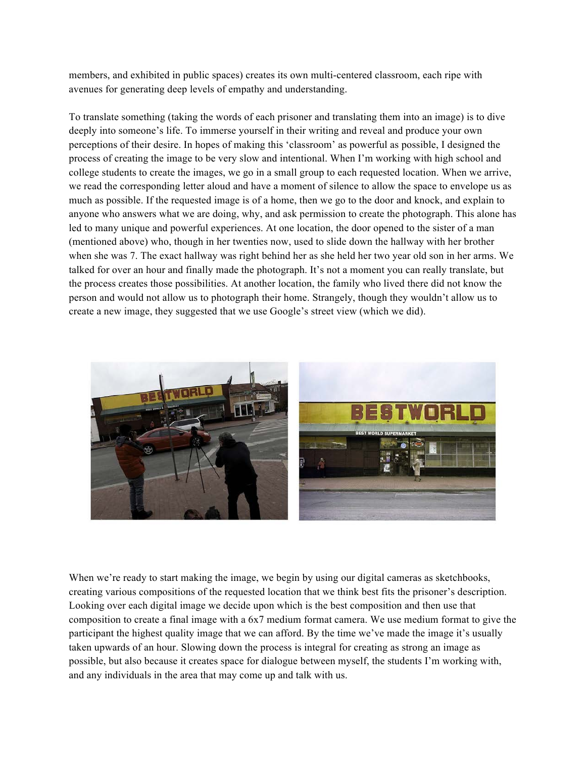members, and exhibited in public spaces) creates its own multi-centered classroom, each ripe with avenues for generating deep levels of empathy and understanding.

To translate something (taking the words of each prisoner and translating them into an image) is to dive deeply into someone's life. To immerse yourself in their writing and reveal and produce your own perceptions of their desire. In hopes of making this 'classroom' as powerful as possible, I designed the process of creating the image to be very slow and intentional. When I'm working with high school and college students to create the images, we go in a small group to each requested location. When we arrive, we read the corresponding letter aloud and have a moment of silence to allow the space to envelope us as much as possible. If the requested image is of a home, then we go to the door and knock, and explain to anyone who answers what we are doing, why, and ask permission to create the photograph. This alone has led to many unique and powerful experiences. At one location, the door opened to the sister of a man (mentioned above) who, though in her twenties now, used to slide down the hallway with her brother when she was 7. The exact hallway was right behind her as she held her two year old son in her arms. We talked for over an hour and finally made the photograph. It's not a moment you can really translate, but the process creates those possibilities. At another location, the family who lived there did not know the person and would not allow us to photograph their home. Strangely, though they wouldn't allow us to create a new image, they suggested that we use Google's street view (which we did).



When we're ready to start making the image, we begin by using our digital cameras as sketchbooks, creating various compositions of the requested location that we think best fits the prisoner's description. Looking over each digital image we decide upon which is the best composition and then use that composition to create a final image with a 6x7 medium format camera. We use medium format to give the participant the highest quality image that we can afford. By the time we've made the image it's usually taken upwards of an hour. Slowing down the process is integral for creating as strong an image as possible, but also because it creates space for dialogue between myself, the students I'm working with, and any individuals in the area that may come up and talk with us.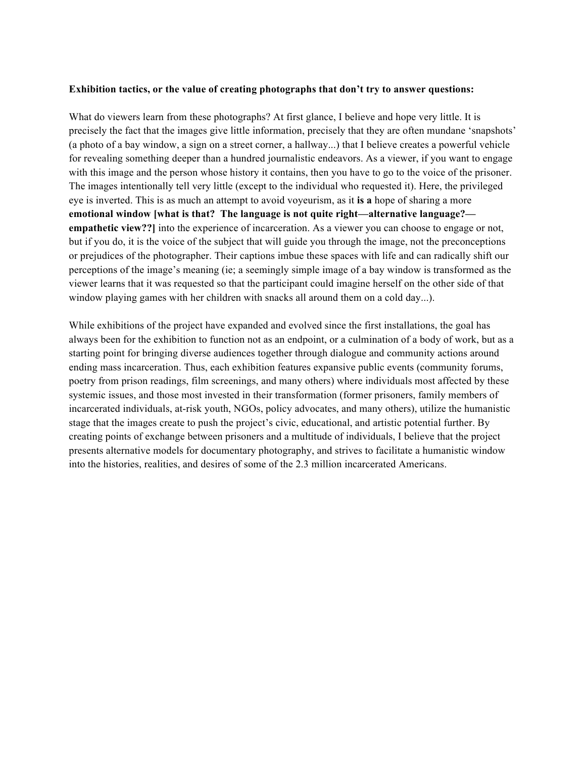#### **Exhibition tactics, or the value of creating photographs that don't try to answer questions:**

What do viewers learn from these photographs? At first glance, I believe and hope very little. It is precisely the fact that the images give little information, precisely that they are often mundane 'snapshots' (a photo of a bay window, a sign on a street corner, a hallway...) that I believe creates a powerful vehicle for revealing something deeper than a hundred journalistic endeavors. As a viewer, if you want to engage with this image and the person whose history it contains, then you have to go to the voice of the prisoner. The images intentionally tell very little (except to the individual who requested it). Here, the privileged eye is inverted. This is as much an attempt to avoid voyeurism, as it **is a** hope of sharing a more **emotional window [what is that? The language is not quite right—alternative language? empathetic view??**] into the experience of incarceration. As a viewer you can choose to engage or not, but if you do, it is the voice of the subject that will guide you through the image, not the preconceptions or prejudices of the photographer. Their captions imbue these spaces with life and can radically shift our perceptions of the image's meaning (ie; a seemingly simple image of a bay window is transformed as the viewer learns that it was requested so that the participant could imagine herself on the other side of that window playing games with her children with snacks all around them on a cold day...).

While exhibitions of the project have expanded and evolved since the first installations, the goal has always been for the exhibition to function not as an endpoint, or a culmination of a body of work, but as a starting point for bringing diverse audiences together through dialogue and community actions around ending mass incarceration. Thus, each exhibition features expansive public events (community forums, poetry from prison readings, film screenings, and many others) where individuals most affected by these systemic issues, and those most invested in their transformation (former prisoners, family members of incarcerated individuals, at-risk youth, NGOs, policy advocates, and many others), utilize the humanistic stage that the images create to push the project's civic, educational, and artistic potential further. By creating points of exchange between prisoners and a multitude of individuals, I believe that the project presents alternative models for documentary photography, and strives to facilitate a humanistic window into the histories, realities, and desires of some of the 2.3 million incarcerated Americans.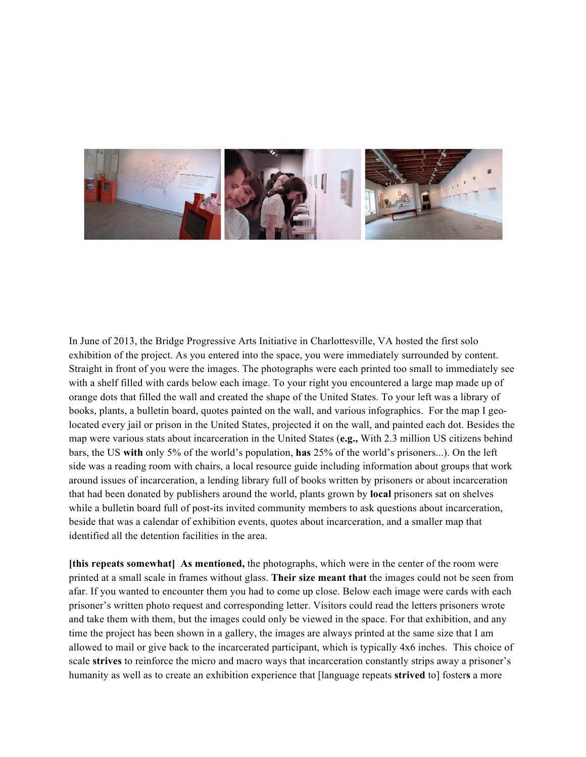

In June of 2013, the Bridge Progressive Arts Initiative in Charlottesville, VA hosted the first solo exhibition of the project. As you entered into the space, you were immediately surrounded by content. Straight in front of you were the images. The photographs were each printed too small to immediately see with a shelf filled with cards below each image. To your right you encountered a large map made up of orange dots that filled the wall and created the shape of the United States. To your left was a library of books, plants, a bulletin board, quotes painted on the wall, and various infographics. For the map I geolocated every jail or prison in the United States, projected it on the wall, and painted each dot. Besides the map were various stats about incarceration in the United States (**e.g.,** With 2.3 million US citizens behind bars, the US **with** only 5% of the world's population, **has** 25% of the world's prisoners...). On the left side was a reading room with chairs, a local resource guide including information about groups that work around issues of incarceration, a lending library full of books written by prisoners or about incarceration that had been donated by publishers around the world, plants grown by **local** prisoners sat on shelves while a bulletin board full of post-its invited community members to ask questions about incarceration, beside that was a calendar of exhibition events, quotes about incarceration, and a smaller map that identified all the detention facilities in the area.

**[this repeats somewhat] As mentioned,** the photographs, which were in the center of the room were printed at a small scale in frames without glass. **Their size meant that** the images could not be seen from afar. If you wanted to encounter them you had to come up close. Below each image were cards with each prisoner's written photo request and corresponding letter. Visitors could read the letters prisoners wrote and take them with them, but the images could only be viewed in the space. For that exhibition, and any time the project has been shown in a gallery, the images are always printed at the same size that I am allowed to mail or give back to the incarcerated participant, which is typically 4x6 inches. This choice of scale **strives** to reinforce the micro and macro ways that incarceration constantly strips away a prisoner's humanity as well as to create an exhibition experience that [language repeats **strived** to] foster**s** a more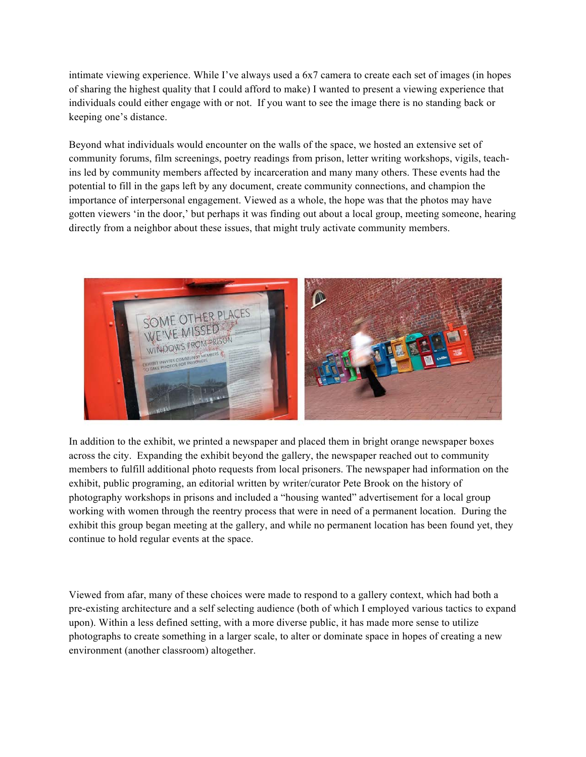intimate viewing experience. While I've always used a 6x7 camera to create each set of images (in hopes of sharing the highest quality that I could afford to make) I wanted to present a viewing experience that individuals could either engage with or not. If you want to see the image there is no standing back or keeping one's distance.

Beyond what individuals would encounter on the walls of the space, we hosted an extensive set of community forums, film screenings, poetry readings from prison, letter writing workshops, vigils, teachins led by community members affected by incarceration and many many others. These events had the potential to fill in the gaps left by any document, create community connections, and champion the importance of interpersonal engagement. Viewed as a whole, the hope was that the photos may have gotten viewers 'in the door,' but perhaps it was finding out about a local group, meeting someone, hearing directly from a neighbor about these issues, that might truly activate community members.



In addition to the exhibit, we printed a newspaper and placed them in bright orange newspaper boxes across the city. Expanding the exhibit beyond the gallery, the newspaper reached out to community members to fulfill additional photo requests from local prisoners. The newspaper had information on the exhibit, public programing, an editorial written by writer/curator Pete Brook on the history of photography workshops in prisons and included a "housing wanted" advertisement for a local group working with women through the reentry process that were in need of a permanent location. During the exhibit this group began meeting at the gallery, and while no permanent location has been found yet, they continue to hold regular events at the space.

Viewed from afar, many of these choices were made to respond to a gallery context, which had both a pre-existing architecture and a self selecting audience (both of which I employed various tactics to expand upon). Within a less defined setting, with a more diverse public, it has made more sense to utilize photographs to create something in a larger scale, to alter or dominate space in hopes of creating a new environment (another classroom) altogether.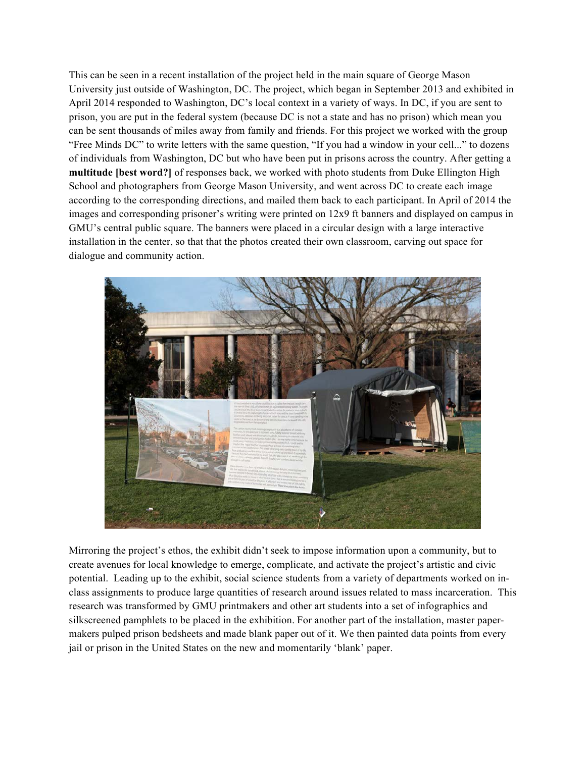This can be seen in a recent installation of the project held in the main square of George Mason University just outside of Washington, DC. The project, which began in September 2013 and exhibited in April 2014 responded to Washington, DC's local context in a variety of ways. In DC, if you are sent to prison, you are put in the federal system (because DC is not a state and has no prison) which mean you can be sent thousands of miles away from family and friends. For this project we worked with the group "Free Minds DC" to write letters with the same question, "If you had a window in your cell..." to dozens of individuals from Washington, DC but who have been put in prisons across the country. After getting a **multitude [best word?]** of responses back, we worked with photo students from Duke Ellington High School and photographers from George Mason University, and went across DC to create each image according to the corresponding directions, and mailed them back to each participant. In April of 2014 the images and corresponding prisoner's writing were printed on 12x9 ft banners and displayed on campus in GMU's central public square. The banners were placed in a circular design with a large interactive installation in the center, so that that the photos created their own classroom, carving out space for dialogue and community action.



Mirroring the project's ethos, the exhibit didn't seek to impose information upon a community, but to create avenues for local knowledge to emerge, complicate, and activate the project's artistic and civic potential. Leading up to the exhibit, social science students from a variety of departments worked on inclass assignments to produce large quantities of research around issues related to mass incarceration. This research was transformed by GMU printmakers and other art students into a set of infographics and silkscreened pamphlets to be placed in the exhibition. For another part of the installation, master papermakers pulped prison bedsheets and made blank paper out of it. We then painted data points from every jail or prison in the United States on the new and momentarily 'blank' paper.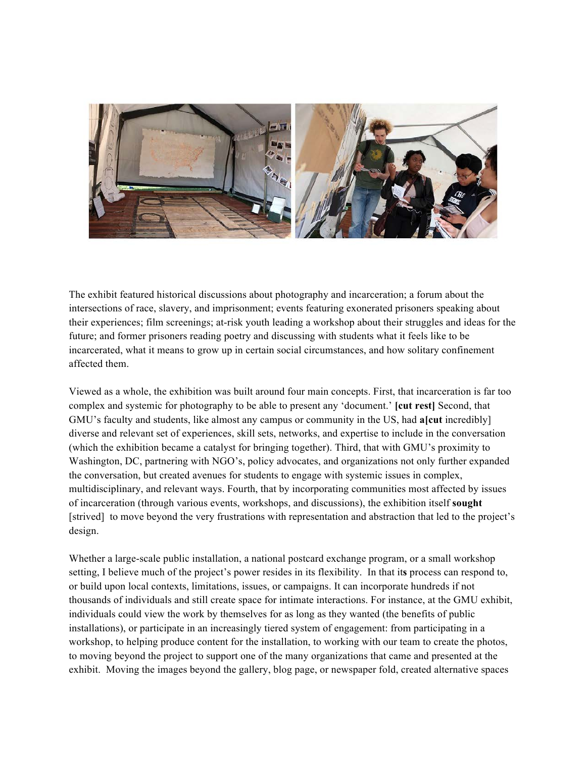

The exhibit featured historical discussions about photography and incarceration; a forum about the intersections of race, slavery, and imprisonment; events featuring exonerated prisoners speaking about their experiences; film screenings; at-risk youth leading a workshop about their struggles and ideas for the future; and former prisoners reading poetry and discussing with students what it feels like to be incarcerated, what it means to grow up in certain social circumstances, and how solitary confinement affected them.

Viewed as a whole, the exhibition was built around four main concepts. First, that incarceration is far too complex and systemic for photography to be able to present any 'document.' **[cut rest]** Second, that GMU's faculty and students, like almost any campus or community in the US, had **a[cut** incredibly] diverse and relevant set of experiences, skill sets, networks, and expertise to include in the conversation (which the exhibition became a catalyst for bringing together). Third, that with GMU's proximity to Washington, DC, partnering with NGO's, policy advocates, and organizations not only further expanded the conversation, but created avenues for students to engage with systemic issues in complex, multidisciplinary, and relevant ways. Fourth, that by incorporating communities most affected by issues of incarceration (through various events, workshops, and discussions), the exhibition itself **sought** [strived] to move beyond the very frustrations with representation and abstraction that led to the project's design.

Whether a large-scale public installation, a national postcard exchange program, or a small workshop setting, I believe much of the project's power resides in its flexibility. In that it**s** process can respond to, or build upon local contexts, limitations, issues, or campaigns. It can incorporate hundreds if not thousands of individuals and still create space for intimate interactions. For instance, at the GMU exhibit, individuals could view the work by themselves for as long as they wanted (the benefits of public installations), or participate in an increasingly tiered system of engagement: from participating in a workshop, to helping produce content for the installation, to working with our team to create the photos, to moving beyond the project to support one of the many organizations that came and presented at the exhibit. Moving the images beyond the gallery, blog page, or newspaper fold, created alternative spaces